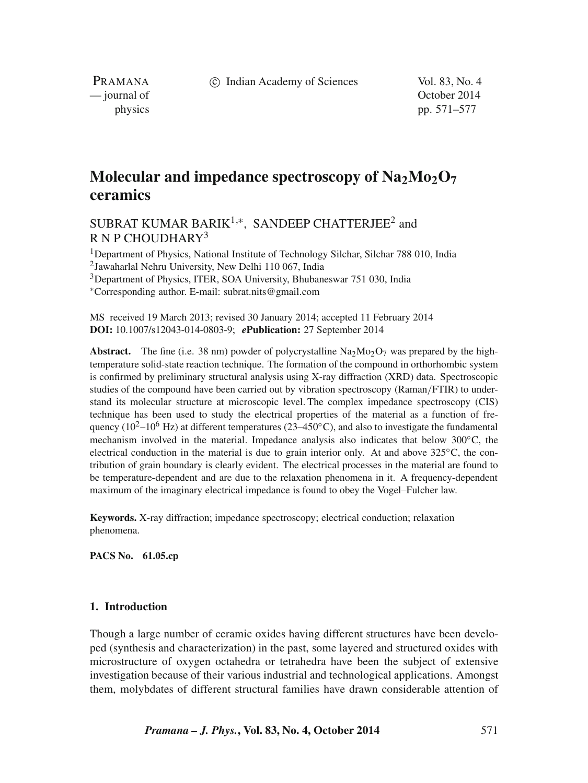c Indian Academy of Sciences Vol. 83, No. 4

PRAMANA<br>
— journal of

October 2014 physics pp. 571–577

# **Molecular and impedance spectroscopy of Na<sub>2</sub>Mo<sub>2</sub>O<sub>7</sub> ceramics**

# SUBRAT KUMAR BARIK<sup>1,\*</sup>, SANDEEP CHATTERJEE<sup>2</sup> and  $R N P CHO$ UDHARY<sup>3</sup>

<sup>1</sup>Department of Physics, National Institute of Technology Silchar, Silchar 788 010, India 2Jawaharlal Nehru University, New Delhi 110 067, India

3Department of Physics, ITER, SOA University, Bhubaneswar 751 030, India

∗Corresponding author. E-mail: subrat.nits@gmail.com

MS received 19 March 2013; revised 30 January 2014; accepted 11 February 2014 **DOI:** 10.1007/s12043-014-0803-9; *e***Publication:** 27 September 2014

**Abstract.** The fine (i.e. 38 nm) powder of polycrystalline  $\text{Na}_2\text{Mo}_2\text{O}_7$  was prepared by the hightemperature solid-state reaction technique. The formation of the compound in orthorhombic system is confirmed by preliminary structural analysis using X-ray diffraction (XRD) data. Spectroscopic studies of the compound have been carried out by vibration spectroscopy (Raman*/*FTIR) to understand its molecular structure at microscopic level. The complex impedance spectroscopy (CIS) technique has been used to study the electrical properties of the material as a function of frequency ( $10^2-10^6$  Hz) at different temperatures ( $23-450^{\circ}$ C), and also to investigate the fundamental mechanism involved in the material. Impedance analysis also indicates that below 300◦C, the electrical conduction in the material is due to grain interior only. At and above  $325^{\circ}$ C, the contribution of grain boundary is clearly evident. The electrical processes in the material are found to be temperature-dependent and are due to the relaxation phenomena in it. A frequency-dependent maximum of the imaginary electrical impedance is found to obey the Vogel–Fulcher law.

**Keywords.** X-ray diffraction; impedance spectroscopy; electrical conduction; relaxation phenomena.

**PACS No. 61.05.cp**

# **1. Introduction**

Though a large number of ceramic oxides having different structures have been developed (synthesis and characterization) in the past, some layered and structured oxides with microstructure of oxygen octahedra or tetrahedra have been the subject of extensive investigation because of their various industrial and technological applications. Amongst them, molybdates of different structural families have drawn considerable attention of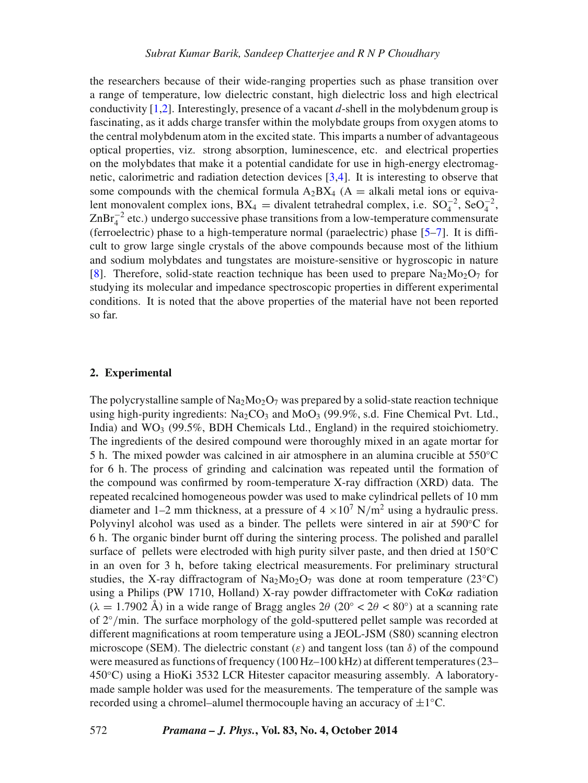the researchers because of their wide-ranging properties such as phase transition over a range of temperature, low dielectric constant, high dielectric loss and high electrical conductivity [\[1,](#page-6-0)[2\]](#page-6-1). Interestingly, presence of a vacant *d*-shell in the molybdenum group is fascinating, as it adds charge transfer within the molybdate groups from oxygen atoms to the central molybdenum atom in the excited state. This imparts a number of advantageous optical properties, viz. strong absorption, luminescence, etc. and electrical properties on the molybdates that make it a potential candidate for use in high-energy electromagnetic, calorimetric and radiation detection devices [\[3](#page-6-2)[,4\]](#page-6-3). It is interesting to observe that some compounds with the chemical formula  $A_2BX_4$  (A = alkali metal ions or equivalent monovalent complex ions,  $BX_4$  = divalent tetrahedral complex, i.e.  $SO_4^{-2}$ ,  $SeO_4^{-2}$ ,  $\text{ZnBr}_4^{-2}$  etc.) undergo successive phase transitions from a low-temperature commensurate (ferroelectric) phase to a high-temperature normal (paraelectric) phase [\[5](#page-6-4)[–7\]](#page-6-5). It is difficult to grow large single crystals of the above compounds because most of the lithium and sodium molybdates and tungstates are moisture-sensitive or hygroscopic in nature [\[8\]](#page-6-6). Therefore, solid-state reaction technique has been used to prepare  $Na<sub>2</sub>Mo<sub>2</sub>O<sub>7</sub>$  for studying its molecular and impedance spectroscopic properties in different experimental conditions. It is noted that the above properties of the material have not been reported so far.

#### **2. Experimental**

The polycrystalline sample of Na<sub>2</sub>Mo<sub>2</sub>O<sub>7</sub> was prepared by a solid-state reaction technique using high-purity ingredients:  $Na_2CO_3$  and  $MoO_3$  (99.9%, s.d. Fine Chemical Pvt. Ltd., India) and  $WO_3$  (99.5%, BDH Chemicals Ltd., England) in the required stoichiometry. The ingredients of the desired compound were thoroughly mixed in an agate mortar for 5 h. The mixed powder was calcined in air atmosphere in an alumina crucible at 550°C for 6 h. The process of grinding and calcination was repeated until the formation of the compound was confirmed by room-temperature X-ray diffraction (XRD) data. The repeated recalcined homogeneous powder was used to make cylindrical pellets of 10 mm diameter and 1–2 mm thickness, at a pressure of  $4 \times 10^7$  N/m<sup>2</sup> using a hydraulic press. Polyvinyl alcohol was used as a binder. The pellets were sintered in air at 590◦C for 6 h. The organic binder burnt off during the sintering process. The polished and parallel surface of pellets were electroded with high purity silver paste, and then dried at 150<sup>°</sup>C in an oven for 3 h, before taking electrical measurements. For preliminary structural studies, the X-ray diffractogram of Na<sub>2</sub>Mo<sub>2</sub>O<sub>7</sub> was done at room temperature (23<sup>°</sup>C) using a Philips (PW 1710, Holland) X-ray powder diffractometer with CoK*α* radiation  $(\lambda = 1.7902 \text{ Å})$  in a wide range of Bragg angles  $2\theta$  ( $20^\circ < 2\theta < 80^\circ$ ) at a scanning rate of 2◦*/*min. The surface morphology of the gold-sputtered pellet sample was recorded at different magnifications at room temperature using a JEOL-JSM (S80) scanning electron microscope (SEM). The dielectric constant  $(\varepsilon)$  and tangent loss (tan  $\delta$ ) of the compound were measured as functions of frequency (100 Hz–100 kHz) at different temperatures (23– 450◦C) using a HioKi 3532 LCR Hitester capacitor measuring assembly. A laboratorymade sample holder was used for the measurements. The temperature of the sample was recorded using a chromel–alumel thermocouple having an accuracy of  $\pm 1$ °C.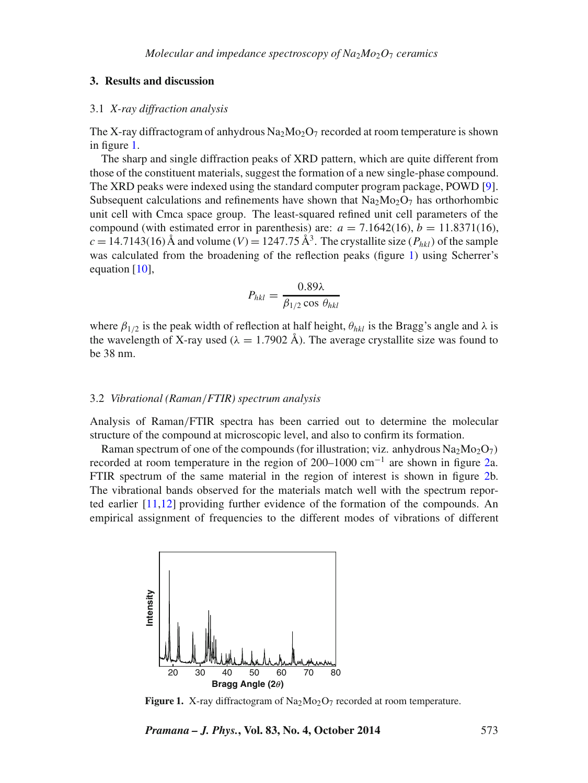### **3. Results and discussion**

#### 3.1 *X-ray diffraction analysis*

The X-ray diffractogram of anhydrous  $Na<sub>2</sub>Mo<sub>2</sub>O<sub>7</sub>$  recorded at room temperature is shown in figure [1.](#page-2-0)

The sharp and single diffraction peaks of XRD pattern, which are quite different from those of the constituent materials, suggest the formation of a new single-phase compound. The XRD peaks were indexed using the standard computer program package, POWD [\[9\]](#page-6-7). Subsequent calculations and refinements have shown that  $Na<sub>2</sub>Mo<sub>2</sub>O<sub>7</sub>$  has orthorhombic unit cell with Cmca space group. The least-squared refined unit cell parameters of the compound (with estimated error in parenthesis) are:  $a = 7.1642(16)$ ,  $b = 11.8371(16)$ ,  $c = 14.7143(16)$  Å and volume (*V*) = 1247.75 Å<sup>3</sup>. The crystallite size (*P<sub>hkl</sub>*) of the sample was calculated from the broadening of the reflection peaks (figure [1\)](#page-2-0) using Scherrer's equation [\[10\]](#page-6-8).

$$
P_{hkl} = \frac{0.89\lambda}{\beta_{1/2}\cos\theta_{hkl}}
$$

where  $\beta_{1/2}$  is the peak width of reflection at half height,  $\theta_{hkl}$  is the Bragg's angle and  $\lambda$  is the wavelength of X-ray used ( $\lambda = 1.7902$  Å). The average crystallite size was found to be 38 nm.

#### 3.2 *Vibrational (Raman/FTIR) spectrum analysis*

Analysis of Raman*/*FTIR spectra has been carried out to determine the molecular structure of the compound at microscopic level, and also to confirm its formation.

Raman spectrum of one of the compounds (for illustration; viz. anhydrous  $Na<sub>2</sub>Mo<sub>2</sub>O<sub>7</sub>$ ) recorded at room temperature in the region of 200–1000 cm<sup>-1</sup> are shown in figure [2a](#page-3-0). FTIR spectrum of the same material in the region of interest is shown in figure [2b](#page-3-0). The vibrational bands observed for the materials match well with the spectrum reported earlier [\[11,](#page-6-9)[12\]](#page-6-10) providing further evidence of the formation of the compounds. An empirical assignment of frequencies to the different modes of vibrations of different

<span id="page-2-0"></span>

**Figure 1.** X-ray diffractogram of  $\text{Na}_2\text{Mo}_2\text{O}_7$  recorded at room temperature.

*Pramana – J. Phys.***, Vol. 83, No. 4, October 2014** 573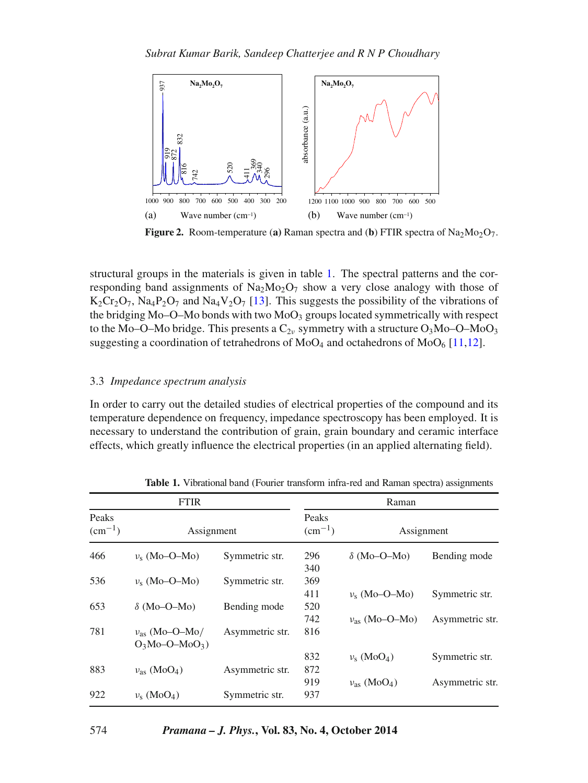<span id="page-3-0"></span>

**Figure 2.** Room-temperature (a) Raman spectra and (b) FTIR spectra of  $Na<sub>2</sub>Mo<sub>2</sub>O<sub>7</sub>$ .

structural groups in the materials is given in table [1.](#page-3-1) The spectral patterns and the corresponding band assignments of  $\text{Na}_2\text{Mo}_2\text{O}_7$  show a very close analogy with those of  $K_2Cr_2O_7$ , Na<sub>4</sub>P<sub>2</sub>O<sub>7</sub> and Na<sub>4</sub>V<sub>2</sub>O<sub>7</sub> [\[13\]](#page-6-11). This suggests the possibility of the vibrations of the bridging  $Mo-O-Mo$  bonds with two  $MoO<sub>3</sub>$  groups located symmetrically with respect to the Mo–O–Mo bridge. This presents a  $C_{2\nu}$  symmetry with a structure  $O_3$ Mo–O–Mo $O_3$ suggesting a coordination of tetrahedrons of  $MoO<sub>4</sub>$  and octahedrons of  $MoO<sub>6</sub>$  [\[11](#page-6-9)[,12\]](#page-6-10).

# 3.3 *Impedance spectrum analysis*

In order to carry out the detailed studies of electrical properties of the compound and its temperature dependence on frequency, impedance spectroscopy has been employed. It is necessary to understand the contribution of grain, grain boundary and ceramic interface effects, which greatly influence the electrical properties (in an applied alternating field).

<span id="page-3-1"></span>

| <b>FTIR</b>                     |                                           |                 | Raman                    |                                  |                 |
|---------------------------------|-------------------------------------------|-----------------|--------------------------|----------------------------------|-----------------|
| Peaks<br>$\rm (cm^{-1})$<br>466 | Assignment                                |                 | Peaks<br>$\rm (cm^{-1})$ | Assignment                       |                 |
|                                 | $v_s$ (Mo–O–Mo)                           | Symmetric str.  | 296<br>340               | $\delta$ (Mo–O–Mo)               | Bending mode    |
| 536                             | $v_{s}$ (Mo-O-Mo)                         | Symmetric str.  | 369<br>411               | $v_s$ (Mo–O–Mo)                  | Symmetric str.  |
| 653                             | $\delta$ (Mo–O–Mo)                        | Bending mode    | 520<br>742               | $v_{\text{as}}$ (Mo-O-Mo)        | Asymmetric str. |
| 781                             | $v_{\rm as}$ (Mo-O-Mo/<br>$O_3Mo-O-MoO_3$ | Asymmetric str. | 816                      |                                  |                 |
| 883                             | $v_{\rm as}$ (MoO <sub>4</sub> )          | Asymmetric str. | 832<br>872               | $v_s$ (MoO <sub>4</sub> )        | Symmetric str.  |
| 922                             | $v_s (MoO4)$                              | Symmetric str.  | 919<br>937               | $v_{\rm as}$ (MoO <sub>4</sub> ) | Asymmetric str. |

**Table 1.** Vibrational band (Fourier transform infra-red and Raman spectra) assignments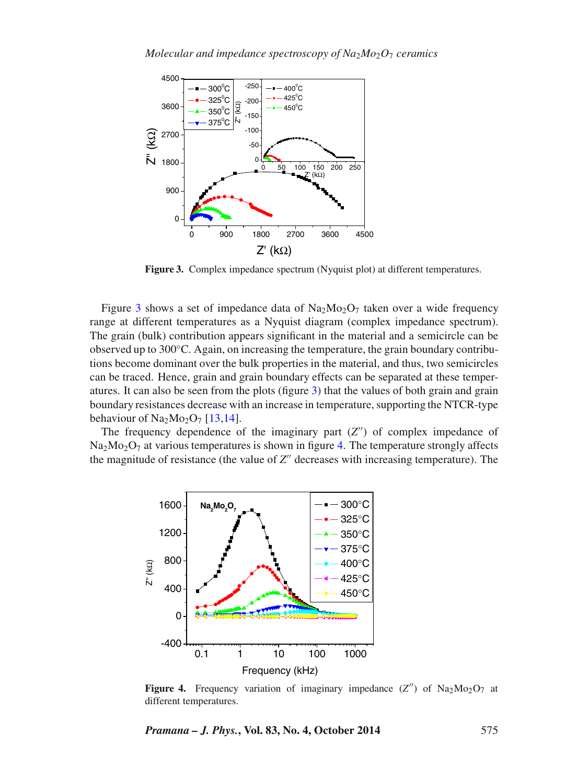<span id="page-4-0"></span>

**Figure 3.** Complex impedance spectrum (Nyquist plot) at different temperatures.

Figure [3](#page-4-0) shows a set of impedance data of  $\text{Na}_2\text{Mo}_2\text{O}_7$  taken over a wide frequency range at different temperatures as a Nyquist diagram (complex impedance spectrum). The grain (bulk) contribution appears significant in the material and a semicircle can be observed up to 300◦C. Again, on increasing the temperature, the grain boundary contributions become dominant over the bulk properties in the material, and thus, two semicircles can be traced. Hence, grain and grain boundary effects can be separated at these temperatures. It can also be seen from the plots (figure [3\)](#page-4-0) that the values of both grain and grain boundary resistances decrease with an increase in temperature, supporting the NTCR-type behaviour of  $Na<sub>2</sub>Mo<sub>2</sub>O<sub>7</sub>$  [\[13](#page-6-11)[,14\]](#page-6-12).

The frequency dependence of the imaginary part  $(Z'')$  of complex impedance of  $Na<sub>2</sub>Mo<sub>2</sub>O<sub>7</sub>$  at various temperatures is shown in figure [4.](#page-4-1) The temperature strongly affects the magnitude of resistance (the value of  $Z''$  decreases with increasing temperature). The

<span id="page-4-1"></span>

**Figure 4.** Frequency variation of imaginary impedance  $(Z'')$  of Na<sub>2</sub>Mo<sub>2</sub>O<sub>7</sub> at different temperatures.

*Pramana – J. Phys.***, Vol. 83, No. 4, October 2014** 575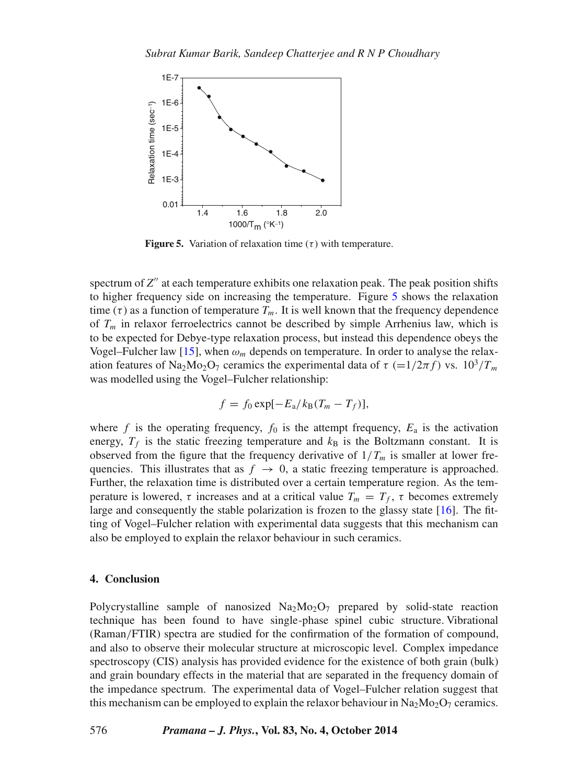<span id="page-5-0"></span>

**Figure 5.** Variation of relaxation time  $(\tau)$  with temperature.

spectrum of  $Z''$  at each temperature exhibits one relaxation peak. The peak position shifts to higher frequency side on increasing the temperature. Figure [5](#page-5-0) shows the relaxation time ( $\tau$ ) as a function of temperature  $T_m$ . It is well known that the frequency dependence of *Tm* in relaxor ferroelectrics cannot be described by simple Arrhenius law, which is to be expected for Debye-type relaxation process, but instead this dependence obeys the Vogel–Fulcher law [\[15\]](#page-6-13), when  $\omega_m$  depends on temperature. In order to analyse the relaxation features of Na<sub>2</sub>Mo<sub>2</sub>O<sub>7</sub> ceramics the experimental data of *τ* (=1/2*πf*) vs. 10<sup>3</sup>/*T<sub>m</sub>* was modelled using the Vogel–Fulcher relationship:

$$
f = f_0 \exp[-E_a/k_B(T_m - T_f)],
$$

where *f* is the operating frequency,  $f_0$  is the attempt frequency,  $E_a$  is the activation energy,  $T_f$  is the static freezing temperature and  $k_B$  is the Boltzmann constant. It is observed from the figure that the frequency derivative of  $1/T_m$  is smaller at lower frequencies. This illustrates that as  $f \rightarrow 0$ , a static freezing temperature is approached. Further, the relaxation time is distributed over a certain temperature region. As the temperature is lowered,  $\tau$  increases and at a critical value  $T_m = T_f$ ,  $\tau$  becomes extremely large and consequently the stable polarization is frozen to the glassy state [\[16\]](#page-6-14). The fitting of Vogel–Fulcher relation with experimental data suggests that this mechanism can also be employed to explain the relaxor behaviour in such ceramics.

#### **4. Conclusion**

Polycrystalline sample of nanosized  $Na<sub>2</sub>Mo<sub>2</sub>O<sub>7</sub>$  prepared by solid-state reaction technique has been found to have single-phase spinel cubic structure. Vibrational (Raman*/*FTIR) spectra are studied for the confirmation of the formation of compound, and also to observe their molecular structure at microscopic level. Complex impedance spectroscopy (CIS) analysis has provided evidence for the existence of both grain (bulk) and grain boundary effects in the material that are separated in the frequency domain of the impedance spectrum. The experimental data of Vogel–Fulcher relation suggest that this mechanism can be employed to explain the relaxor behaviour in  $Na_2Mo_2O_7$  ceramics.